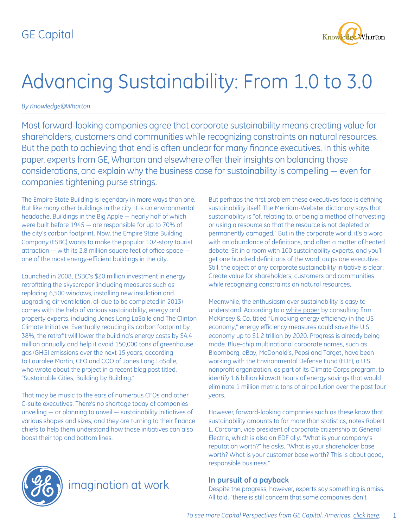

# Advancing Sustainability: From 1.0 to 3.0

*By Knowledge@Wharton*

Most forward-looking companies agree that corporate sustainability means creating value for shareholders, customers and communities while recognizing constraints on natural resources. But the path to achieving that end is often unclear for many finance executives. In this white paper, experts from GE, Wharton and elsewhere offer their insights on balancing those considerations, and explain why the business case for sustainability is compelling ― even for companies tightening purse strings.

The Empire State Building is legendary in more ways than one. But like many other buildings in the city, it is an environmental headache. Buildings in the Big Apple ― nearly half of which were built before 1945 ― are responsible for up to 70% of the city's carbon footprint. Now, the Empire State Building Company (ESBC) wants to make the popular 102-story tourist attraction ― with its 2.8 million square feet of office space ― one of the most energy-efficient buildings in the city.

Launched in 2008, ESBC's \$20 million investment in energy retrofitting the skyscraper (including measures such as replacing 6,500 windows, installing new insulation and upgrading air ventilation, all due to be completed in 2013) comes with the help of various sustainability, energy and property experts, including Jones Lang LaSalle and The Clinton Climate Initiative. Eventually reducing its carbon footprint by 38%, the retrofit will lower the building's energy costs by \$4.4 million annually and help it avoid 150,000 tons of greenhouse gas (GHG) emissions over the next 15 years, according to Lauralee Martin, CFO and COO of Jones Lang LaSalle, who wrote about the project in a recent blog post titled, "Sustainable Cities, Building by Building."

That may be music to the ears of numerous CFOs and other C-suite executives. There's no shortage today of companies unveiling ― or planning to unveil ― sustainability initiatives of various shapes and sizes, and they are turning to their finance chiefs to help them understand how those initiatives can also boost their top and bottom lines.

But perhaps the first problem these executives face is defining sustainability itself. The Merriam-Webster dictionary says that sustainability is "of, relating to, or being a method of harvesting or using a resource so that the resource is not depleted or permanently damaged." But in the corporate world, it's a word with an abundance of definitions, and often a matter of heated debate. Sit in a room with 100 sustainability experts, and you'll get one hundred definitions of the word, quips one executive. Still, the object of any corporate sustainability initiative is clear: Create value for shareholders, customers and communities while recognizing constraints on natural resources.

Meanwhile, the enthusiasm over sustainability is easy to understand. According to a [white paper](http://www.mckinsey.com/Client_Service/Electric_Power_and_Natural_Gas/Latest_thinking/Unlocking_energy_efficiency_in_the_US_economy.aspx) by consulting firm McKinsey & Co. titled "Unlocking energy efficiency in the US economy," energy efficiency measures could save the U.S. economy up to \$1.2 trillion by 2020. Progress is already being made. Blue-chip multinational corporate names, such as Bloomberg, eBay, McDonald's, Pepsi and Target, have been working with the Environmental Defense Fund (EDF), a U.S. nonprofit organization, as part of its Climate Corps program, to identify 1.6 billion kilowatt hours of energy savings that would eliminate 1 million metric tons of air pollution over the past four years.

However, forward-looking companies such as these know that sustainability amounts to far more than statistics, notes Robert L. Corcoran, vice president of corporate citizenship at General Electric, which is also an EDF ally. "What is your company's reputation worth?" he asks. "What is your shareholder base worth? What is your customer base worth? This is about good, responsible business."

#### **In pursuit of a payback**

Despite the progress, however, experts say something is amiss. All told, "there is still concern that some companies don't



### imagination at work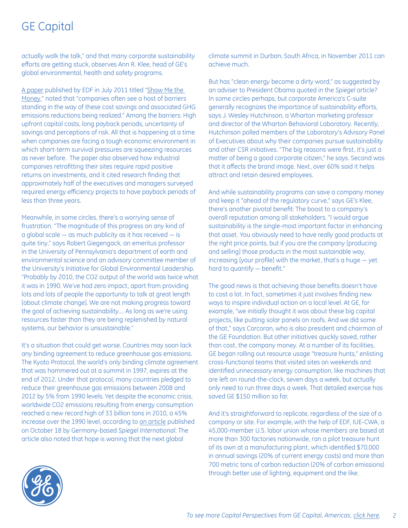actually walk the talk," and that many corporate sustainability efforts are getting stuck, observes Ann R. Klee, head of GE's global environmental, health and safety programs.

[A paper](http://www.edf.org/sites/default/files/11860_EnergyEfficiencyFinancingBarriersandOpportunities_July 2011.pdf) published by EDF in July 2011 titled "[Show Me the](http://www.edf.org/sites/default/files/11860_EnergyEfficiencyFinancingBarriersandOpportunities_July 2011.pdf)  [Money,](http://www.edf.org/sites/default/files/11860_EnergyEfficiencyFinancingBarriersandOpportunities_July 2011.pdf)" noted that "companies often see a host of barriers standing in the way of these cost savings and associated GHG emissions reductions being realized." Among the barriers: High upfront capital costs, long payback periods, uncertainty of savings and perceptions of risk. All that is happening at a time when companies are facing a tough economic environment in which short-term survival pressures are squeezing resources as never before. The paper also observed how industrial companies retrofitting their sites require rapid positive returns on investments, and it cited research finding that approximately half of the executives and managers surveyed required energy efficiency projects to have payback periods of less than three years.

Meanwhile, in some circles, there's a worrying sense of frustration. "The magnitude of this progress on any kind of a global scale ― as much publicity as it has received ― is quite tiny," says Robert Giegengack, an emeritus professor in the University of Pennsylvania's department of earth and environmental science and an advisory committee member of the University's Initiative for Global Environmental Leadership. "Probably by 2010, the CO2 output of the world was twice what it was in 1990. We've had zero impact, apart from providing lots and lots of people the opportunity to talk at great length [about climate change]. We are not making progress toward the goal of achieving sustainability…. As long as we're using resources faster than they are being replenished by natural systems, our behavior is unsustainable."

It's a situation that could get worse. Countries may soon lack any binding agreement to reduce greenhouse gas emissions. The Kyoto Protocol, the world's only binding climate agreement that was hammered out at a summit in 1997, expires at the end of 2012. Under that protocol, many countries pledged to reduce their greenhouse gas emissions between 2008 and 2012 by 5% from 1990 levels. Yet despite the economic crisis, worldwide CO2 emissions resulting from energy consumption reached a new record high of 33 billion tons in 2010, a 45% increase over the 1990 level, according to [an article](http://www.spiegel.de/international/world/0,1518,792224,00.html#ref=nlint) published on October 18 by Germany-based *Spiegel International*. The article also noted that hope is waning that the next global

climate summit in Durban, South Africa, in November 2011 can achieve much.

But has "clean energy become a dirty word," as suggested by an adviser to President Obama quoted in the *Spiegel* article? In some circles perhaps, but corporate America's C-suite generally recognizes the importance of sustainability efforts, says J. Wesley Hutchinson, a Wharton marketing professor and director of the Wharton Behavioral Laboratory. Recently, Hutchinson polled members of the Laboratory's Advisory Panel of Executives about why their companies pursue sustainability and other CSR initiatives. "The big reasons were first, it's just a matter of being a good corporate citizen," he says. Second was that it affects the brand image. Next, over 60% said it helps attract and retain desired employees.

And while sustainability programs can save a company money and keep it "ahead of the regulatory curve," says GE's Klee, there's another pivotal benefit: The boost to a company's overall reputation among all stakeholders. "I would argue sustainability is the single-most important factor in enhancing that asset. You obviously need to have really good products at the right price points, but if you are the company [producing and selling] those products in the most sustainable way, increasing [your profile] with the market, that's a huge ― yet hard to quantify ― benefit."

The good news is that achieving those benefits doesn't have to cost a lot. In fact, sometimes it just involves finding new ways to inspire individual action on a local level. At GE, for example, "we initially thought it was about these big capital projects, like putting solar panels on roofs. And we did some of that," says Corcoran, who is also president and chairman of the GE Foundation. But other initiatives quickly saved, rather than cost, the company money. At a number of its facilities, GE began rolling out resource usage "treasure hunts," enlisting cross-functional teams that visited sites on weekends and identified unnecessary energy consumption, like machines that are left on round-the-clock, seven days a week, but actually only need to run three days a week. That detailed exercise has saved GE \$150 million so far.

And it's straightforward to replicate, regardless of the size of a company or site. For example, with the help of EDF, IUE-CWA, a 45,000-member U.S. labor union whose members are based at more than 300 factories nationwide, ran a pilot treasure hunt of its own at a manufacturing plant, which identified \$70,000 in annual savings (20% of current energy costs) and more than 700 metric tons of carbon reduction (20% of carbon emissions) through better use of lighting, equipment and the like.

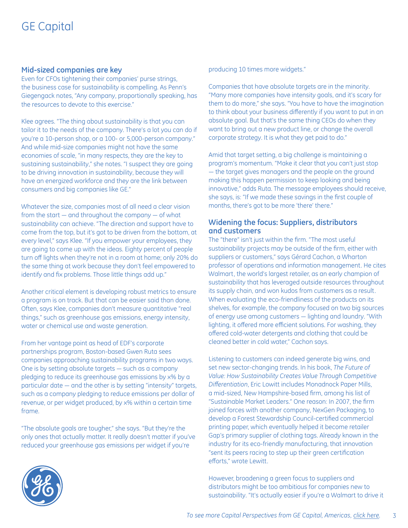#### **Mid-sized companies are key**

Even for CFOs tightening their companies' purse strings, the business case for sustainability is compelling. As Penn's Giegengack notes, "Any company, proportionally speaking, has the resources to devote to this exercise."

Klee agrees. "The thing about sustainability is that you can tailor it to the needs of the company. There's a lot you can do if you're a 10-person shop, or a 100- or 5,000-person company." And while mid-size companies might not have the same economies of scale, "in many respects, they are the key to sustaining sustainability," she notes. "I suspect they are going to be driving innovation in sustainability, because they will have an energized workforce and they are the link between consumers and big companies like GE."

Whatever the size, companies most of all need a clear vision from the start ― and throughout the company ― of what sustainability can achieve. "The direction and support have to come from the top, but it's got to be driven from the bottom, at every level," says Klee. "If you empower your employees, they are going to come up with the ideas. Eighty percent of people turn off lights when they're not in a room at home; only 20% do the same thing at work because they don't feel empowered to identify and fix problems. Those little things add up."

Another critical element is developing robust metrics to ensure a program is on track. But that can be easier said than done. Often, says Klee, companies don't measure quantitative "real things," such as greenhouse gas emissions, energy intensity, water or chemical use and waste generation.

From her vantage point as head of EDF's corporate partnerships program, Boston-based Gwen Ruta sees companies approaching sustainability programs in two ways. One is by setting absolute targets ― such as a company pledging to reduce its greenhouse gas emissions by x% by a particular date ― and the other is by setting "intensity" targets, such as a company pledging to reduce emissions per dollar of revenue, or per widget produced, by x% within a certain time frame.

"The absolute goals are tougher," she says. "But they're the only ones that actually matter. It really doesn't matter if you've reduced your greenhouse gas emissions per widget if you're

producing 10 times more widgets."

Companies that have absolute targets are in the minority. "Many more companies have intensity goals, and it's scary for them to do more," she says. "You have to have the imagination to think about your business differently if you want to put in an absolute goal. But that's the same thing CEOs do when they want to bring out a new product line, or change the overall corporate strategy. It is what they get paid to do."

Amid that target setting, a big challenge is maintaining a program's momentum. "Make it clear that you can't just stop ― the target gives managers and the people on the ground making this happen permission to keep looking and being innovative," adds Ruta. The message employees should receive, she says, is: "If we made these savings in the first couple of months, there's got to be more 'there' there."

#### **Widening the focus: Suppliers, distributors and customers**

The "there" isn't just within the firm. "The most useful sustainability projects may be outside of the firm, either with suppliers or customers," says Gérard Cachon, a Wharton professor of operations and information management. He cites Walmart, the world's largest retailer, as an early champion of sustainability that has leveraged outside resources throughout its supply chain, and won kudos from customers as a result. When evaluating the eco-friendliness of the products on its shelves, for example, the company focused on two big sources of energy use among customers ― lighting and laundry. "With lighting, it offered more efficient solutions. For washing, they offered cold-water detergents and clothing that could be cleaned better in cold water," Cachon says.

Listening to customers can indeed generate big wins, and set new sector-changing trends. In his book, *The Future of Value: How Sustainability Creates Value Through Competitive Differentiation*, Eric Lowitt includes Monadnock Paper Mills, a mid-sized, New Hampshire-based firm, among his list of "Sustainable Market Leaders." One reason: In 2007, the firm joined forces with another company, NexGen Packaging, to develop a Forest Stewardship Council-certified commercial printing paper, which eventually helped it become retailer Gap's primary supplier of clothing tags. Already known in the industry for its eco-friendly manufacturing, that innovation "sent its peers racing to step up their green certification efforts," wrote Lewitt.

However, broadening a green focus to suppliers and distributors might be too ambitious for companies new to sustainability. "It's actually easier if you're a Walmart to drive it

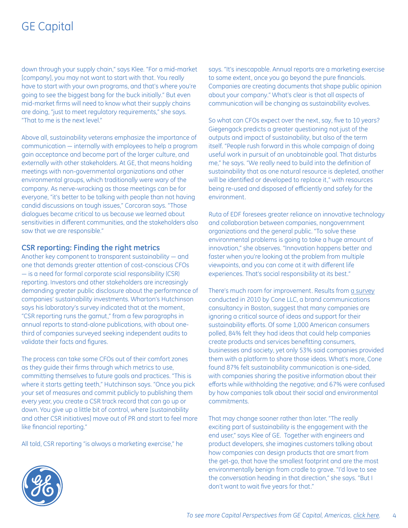down through your supply chain," says Klee. "For a mid-market [company], you may not want to start with that. You really have to start with your own programs, and that's where you're going to see the biggest bang for the buck initially." But even mid-market firms will need to know what their supply chains are doing, "just to meet regulatory requirements," she says. "That to me is the next level."

Above all, sustainability veterans emphasize the importance of communication ― internally with employees to help a program gain acceptance and become part of the larger culture, and externally with other stakeholders. At GE, that means holding meetings with non-governmental organizations and other environmental groups, which traditionally were wary of the company. As nerve-wracking as those meetings can be for everyone, "it's better to be talking with people than not having candid discussions on tough issues," Corcoran says. "Those dialogues became critical to us because we learned about sensitivities in different communities, and the stakeholders also saw that we are responsible."

#### **CSR reporting: Finding the right metrics**

Another key component to transparent sustainability ― and one that demands greater attention of cost-conscious CFOs ― is a need for formal corporate scial responsibility (CSR) reporting. Investors and other stakeholders are increasingly demanding greater public disclosure about the performance of companies' sustainability investments. Wharton's Hutchinson says his laboratory's survey indicated that at the moment, "CSR reporting runs the gamut," from a few paragraphs in annual reports to stand-alone publications, with about onethird of companies surveyed seeking independent audits to validate their facts and figures.

The process can take some CFOs out of their comfort zones as they guide their firms through which metrics to use, committing themselves to future goals and practices. "This is where it starts getting teeth," Hutchinson says. "Once you pick your set of measures and commit publicly to publishing them every year, you create a CSR track record that can go up or down. You give up a little bit of control, where [sustainability and other CSR initiatives] move out of PR and start to feel more like financial reporting."

All told, CSR reporting "is always a marketing exercise," he

says. "It's inescapable. Annual reports are a marketing exercise to some extent, once you go beyond the pure financials. Companies are creating documents that shape public opinion about your company." What's clear is that all aspects of communication will be changing as sustainability evolves.

So what can CFOs expect over the next, say, five to 10 years? Giegengack predicts a greater questioning not just of the outputs and impact of sustainability, but also of the term itself. "People rush forward in this whole campaign of doing useful work in pursuit of an unobtainable goal. That disturbs me," he says. "We really need to build into the definition of sustainability that as one natural resource is depleted, another will be identified or developed to replace it," with resources being re-used and disposed of efficiently and safely for the environment.

Ruta of EDF foresees greater reliance on innovative technology and collaboration between companies, nongovernment organizations and the general public. "To solve these environmental problems is going to take a huge amount of innovation," she observes. "Innovation happens better and faster when you're looking at the problem from multiple viewpoints, and you can come at it with different life experiences. That's social responsibility at its best."

There's much room for improvement. Results from [a survey](http://www.coneinc.com/content3200) conducted in 2010 by Cone LLC, a brand communications consultancy in Boston, suggest that many companies are ignoring a critical source of ideas and support for their sustainability efforts. Of some 1,000 American consumers polled, 84% felt they had ideas that could help companies create products and services benefitting consumers, businesses and society, yet only 53% said companies provided them with a platform to share those ideas. What's more, Cone found 87% felt sustainability communication is one-sided, with companies sharing the positive information about their efforts while withholding the negative; and 67% were confused by how companies talk about their social and environmental commitments.

That may change sooner rather than later. "The really exciting part of sustainability is the engagement with the end user," says Klee of GE. Together with engineers and product developers, she imagines customers talking about how companies can design products that are smart from the get-go, that have the smallest footprint and are the most environmentally benign from cradle to grave. "I'd love to see the conversation heading in that direction," she says. "But I don't want to wait five years for that."